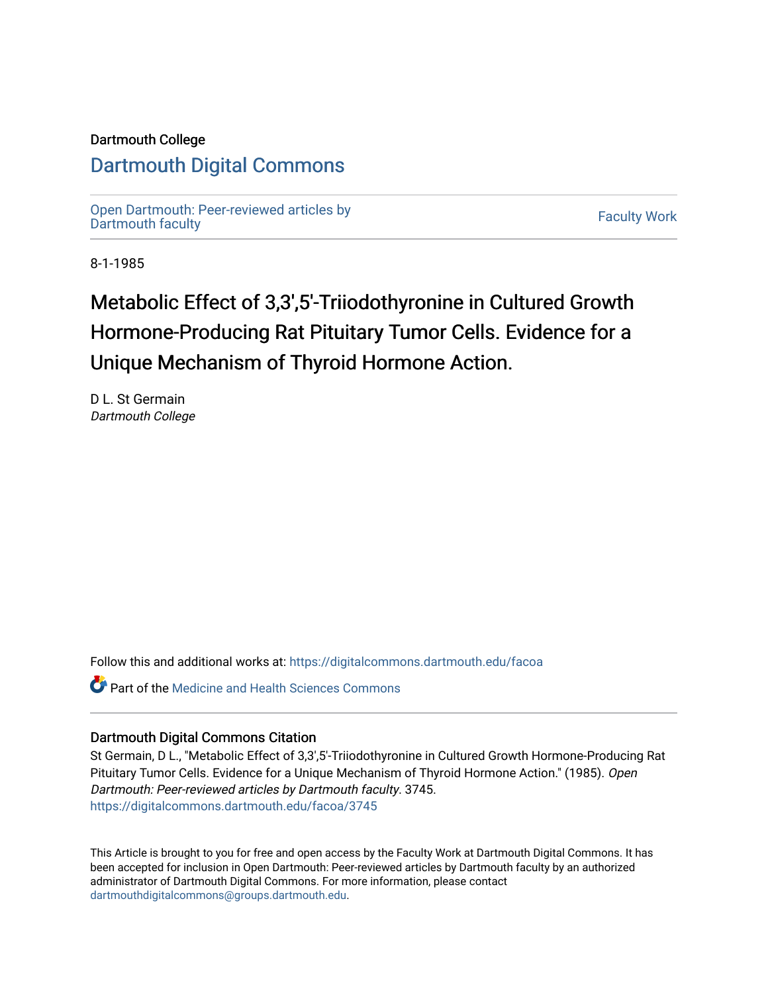## Dartmouth College

## [Dartmouth Digital Commons](https://digitalcommons.dartmouth.edu/)

[Open Dartmouth: Peer-reviewed articles by](https://digitalcommons.dartmouth.edu/facoa)  Open Dartmouth Feer-reviewed articles by<br>[Dartmouth faculty](https://digitalcommons.dartmouth.edu/facoa)

8-1-1985

# Metabolic Effect of 3,3',5'-Triiodothyronine in Cultured Growth Hormone-Producing Rat Pituitary Tumor Cells. Evidence for a Unique Mechanism of Thyroid Hormone Action.

D L. St Germain Dartmouth College

Follow this and additional works at: [https://digitalcommons.dartmouth.edu/facoa](https://digitalcommons.dartmouth.edu/facoa?utm_source=digitalcommons.dartmouth.edu%2Ffacoa%2F3745&utm_medium=PDF&utm_campaign=PDFCoverPages)

**Part of the Medicine and Health Sciences Commons** 

### Dartmouth Digital Commons Citation

St Germain, D L., "Metabolic Effect of 3,3',5'-Triiodothyronine in Cultured Growth Hormone-Producing Rat Pituitary Tumor Cells. Evidence for a Unique Mechanism of Thyroid Hormone Action." (1985). Open Dartmouth: Peer-reviewed articles by Dartmouth faculty. 3745. [https://digitalcommons.dartmouth.edu/facoa/3745](https://digitalcommons.dartmouth.edu/facoa/3745?utm_source=digitalcommons.dartmouth.edu%2Ffacoa%2F3745&utm_medium=PDF&utm_campaign=PDFCoverPages) 

This Article is brought to you for free and open access by the Faculty Work at Dartmouth Digital Commons. It has been accepted for inclusion in Open Dartmouth: Peer-reviewed articles by Dartmouth faculty by an authorized administrator of Dartmouth Digital Commons. For more information, please contact [dartmouthdigitalcommons@groups.dartmouth.edu](mailto:dartmouthdigitalcommons@groups.dartmouth.edu).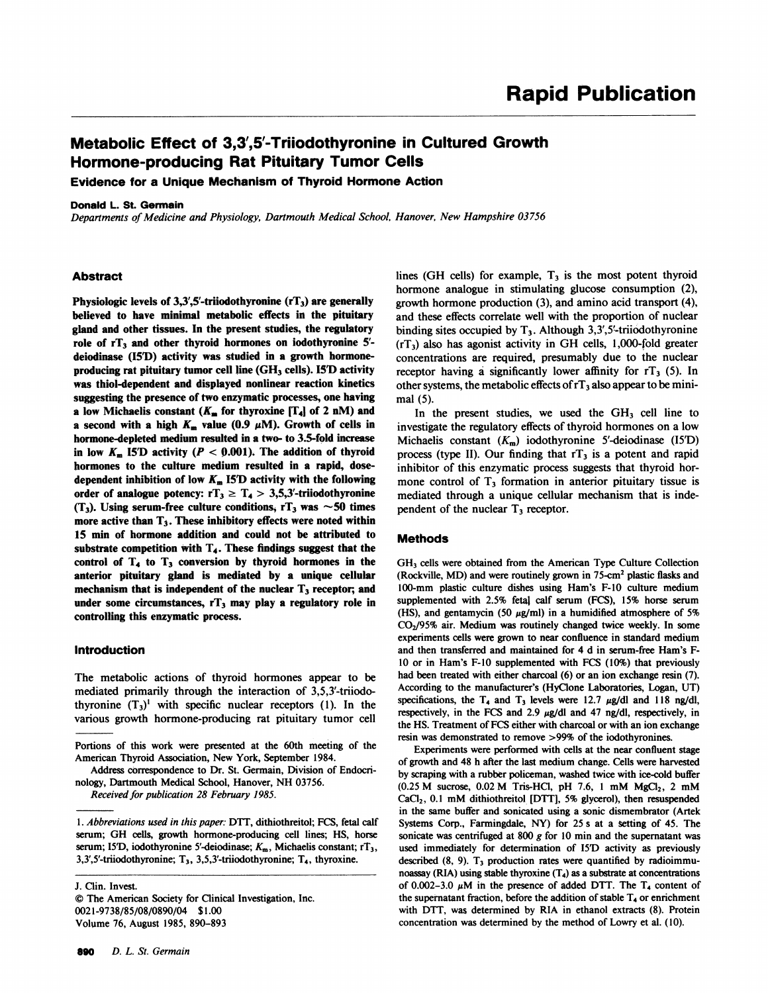## Metabolic Effect of 3,3',5'-Triiodothyronine in Cultured Growth Hormone-producing Rat Pituitary Tumor Cells

Evidence for a Unique Mechanism of Thyroid Hormone Action

#### Donald L. St. Germain

Departments of Medicine and Physiology, Dartmouth Medical School, Hanover, New Hampshire 03756

#### Abstract

Physiologic levels of  $3,3',5'$ -triiodothyronine (rT<sub>3</sub>) are generally believed to have minimal metabolic effects in the pituitary gland and other tissues. In the present studies, the regulatory role of  $rT_3$  and other thyroid hormones on iodothyronine 5'deiodinase (15D) activity was studied in a growth hormoneproducing rat pituitary tumor cell line  $(GH<sub>3</sub>$  cells). ISD activity was thiol-dependent and displayed nonlinear reaction kinetics suggesting the presence of two enzymatic processes, one having a low Michaelis constant  $(K_m$  for thyroxine  $[T_4]$  of 2 nM) and a second with a high  $K_m$  value (0.9  $\mu$ M). Growth of cells in hormone-depleted medium resulted in a two- to 3.5-fold increase in low  $K_m$  15<sup>'</sup>D activity ( $P < 0.001$ ). The addition of thyroid hormones to the culture medium resulted in a rapid, dosedependent inhibition of low  $K_m$  15<sup>T</sup> activity with the following order of analogue potency:  $rT_3 \geq T_4 > 3.5.3'$ -triiodothyronine (T<sub>3</sub>). Using serum-free culture conditions, rT<sub>3</sub> was  $\sim$  50 times more active than  $T_3$ . These inhibitory effects were noted within 15 min of hormone addition and could not be attributed to substrate competition with  $T_4$ . These findings suggest that the control of  $T<sub>4</sub>$  to  $T<sub>3</sub>$  conversion by thyroid hormones in the anterior pituitary gland is mediated by a unique cellular mechanism that is independent of the nuclear  $T_3$  receptor; and under some circumstances,  $rT_3$  may play a regulatory role in controlling this enzymatic process.

#### Introduction

The metabolic actions of thyroid hormones appear to be mediated primarily through the interaction of 3,5,3'-triiodothyronine  $(T_3)^1$  with specific nuclear receptors (1). In the various growth hormone-producing rat pituitary tumor cell

J. Clin. Invest. © The American Society for Clinical Investigation, Inc. 002 1-9738/85/08/0890/04 \$ 1.00

Volume 76, August 1985, 890-893

lines (GH cells) for example,  $T<sub>3</sub>$  is the most potent thyroid hormone analogue in stimulating glucose consumption (2), growth hormone production (3), and amino acid transport (4), and these effects correlate well with the proportion of nuclear binding sites occupied by  $T_3$ . Although 3,3',5'-triiodothyronine  $(rT<sub>3</sub>)$  also has agonist activity in GH cells, 1,000-fold greater concentrations are required, presumably due to the nuclear receptor having a significantly lower affinity for  $rT_3$  (5). In other systems, the metabolic effects of  $rT_3$  also appear to be minimal (5).

In the present studies, we used the  $GH<sub>3</sub>$  cell line to investigate the regulatory effects of thyroid hormones on a low Michaelis constant  $(K_m)$  iodothyronine 5'-deiodinase (I5'D) process (type II). Our finding that  $rT_3$  is a potent and rapid inhibitor of this enzymatic process suggests that thyroid hormone control of  $T<sub>3</sub>$  formation in anterior pituitary tissue is mediated through a unique cellular mechanism that is independent of the nuclear  $T_3$  receptor.

#### Methods

GH3 cells were obtained from the American Type Culture Collection (Rockville, MD) and were routinely grown in 75-cm2 plastic flasks and 100-mm plastic culture dishes using Ham's F-10 culture medium supplemented with 2.5% fetal calf serum (FCS), 15% horse serum (HS), and gentamycin (50  $\mu$ g/ml) in a humidified atmosphere of 5%  $CO<sub>2</sub>/95%$  air. Medium was routinely changed twice weekly. In some experiments cells were grown to near confluence in standard medium and then transferred and maintained for 4 d in serum-free Ham's F-10 or in Ham's F-10 supplemented with FCS (10%) that previously had been treated with either charcoal (6) or an ion exchange resin (7). According to the manufacturer's (HyClone Laboratories, Logan, UT) specifications, the  $T_4$  and  $T_3$  levels were 12.7  $\mu$ g/dl and 118 ng/dl, respectively, in the FCS and 2.9  $\mu$ g/dl and 47 ng/dl, respectively, in the HS. Treatment of FCS either with charcoal or with an ion exchange resin was demonstrated to remove >99% of the iodothyronines.

Experiments were performed with cells at the near confluent stage of growth and 48 h after the last medium change. Cells were harvested by scraping with a rubber policeman, washed twice with ice-cold buffer  $(0.25 \text{ M})$  sucrose, 0.02 M Tris-HCl, pH 7.6, 1 mM  $MgCl_2$ , 2 mM CaCl<sub>2</sub>, 0.1 mM dithiothreitol [DTT], 5% glycerol), then resuspended in the same buffer and sonicated using a sonic dismembrator (Artek Systems Corp., Farmingdale, NY) for 25 <sup>s</sup> at a setting of 45. The sonicate was centrifuged at 800  $g$  for 10 min and the supernatant was used immediately for determination of I5<sup>D</sup> activity as previously described  $(8, 9)$ . T<sub>3</sub> production rates were quantified by radioimmunoassay (RIA) using stable thyroxine  $(T_4)$  as a substrate at concentrations of 0.002-3.0  $\mu$ M in the presence of added DTT. The T<sub>4</sub> content of the supernatant fraction, before the addition of stable  $T<sub>4</sub>$  or enrichment with DTT, was determined by RIA in ethanol extracts (8). Protein concentration was determined by the method of Lowry et al. (10).

Portions of this work were presented at the 60th meeting of the American Thyroid Association, New York, September 1984.

Address correspondence to Dr. St. Germain, Division of Endocrinology, Dartmouth Medical School, Hanover, NH 03756.

Received for publication 28 February 1985.

<sup>1.</sup> Abbreviations used in this paper: DTT, dithiothreitol; FCS, fetal calf serum; GH cells, growth hormone-producing cell lines; HS, horse serum; 15'D, iodothyronine 5'-deiodinase;  $K_m$ , Michaelis constant; rT<sub>3</sub>, 3,3',5'-triiodothyronine;  $T_3$ , 3,5,3'-triiodothyronine;  $T_4$ , thyroxine.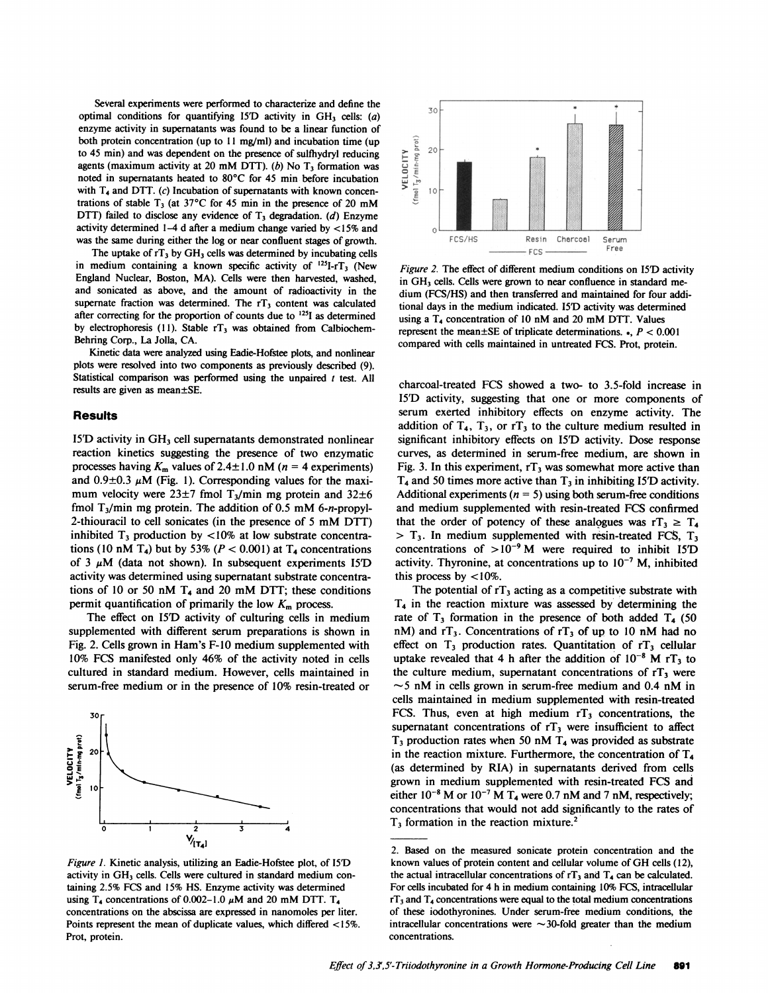Several experiments were performed to characterize and define the optimal conditions for quantifying 15<sup>D</sup> activity in  $GH_3$  cells: (a) enzyme activity in supernatants was found to be a linear function of both protein concentration (up to 11 mg/ml) and incubation time (up to 45 min) and was dependent on the presence of sulfhydryl reducing agents (maximum activity at 20 mM DTT). (b) No  $T<sub>3</sub>$  formation was noted in supernatants heated to 80'C for 45 min before incubation with  $T<sub>4</sub>$  and DTT. (c) Incubation of supernatants with known concentrations of stable  $T_3$  (at 37°C for 45 min in the presence of 20 mM DTT) failed to disclose any evidence of  $T<sub>3</sub>$  degradation. (d) Enzyme activity determined 1-4 d after a medium change varied by <15% and was the same during either the log or near confluent stages of growth.

The uptake of  $rT_3$  by  $GH_3$  cells was determined by incubating cells in medium containing a known specific activity of  $^{125}I$ -rT<sub>3</sub> (New England Nuclear, Boston, MA). Cells were then harvested, washed, and sonicated as above, and the amount of radioactivity in the supernate fraction was determined. The  $rT_3$  content was calculated after correcting for the proportion of counts due to  $^{125}I$  as determined by electrophoresis (11). Stable  $rT_3$  was obtained from Calbiochem-Behring Corp., La Jolla, CA.

Kinetic data were analyzed using Eadie-Hofstee plots, and nonlinear plots were resolved into two components as previously described (9). Statistical comparison was performed using the unpaired  $t$  test. All results are given as mean±SE.

#### **Results**

15<sup>T</sup> activity in GH<sub>3</sub> cell supernatants demonstrated nonlinear reaction kinetics suggesting the presence of two enzymatic processes having  $K_m$  values of 2.4±1.0 nM ( $n = 4$  experiments) and  $0.9\pm0.3 \mu$ M (Fig. 1). Corresponding values for the maximum velocity were  $23\pm7$  fmol T<sub>3</sub>/min mg protein and  $32\pm6$ fmol  $T_3$ /min mg protein. The addition of 0.5 mM 6-n-propyl-2-thiouracil to cell sonicates (in the presence of <sup>5</sup> mM DTT) inhibited  $T_3$  production by <10% at low substrate concentrations (10 nM T<sub>4</sub>) but by 53% ( $P < 0.001$ ) at T<sub>4</sub> concentrations of 3  $\mu$ M (data not shown). In subsequent experiments 15<sup>T</sup>D activity was determined using supernatant substrate concentrations of 10 or 50 nM  $T_4$  and 20 mM DTT; these conditions permit quantification of primarily the low  $K<sub>m</sub>$  process.

The effect on 15'D activity of culturing cells in medium supplemented with different serum preparations is shown in Fig. 2. Cells grown in Ham's F-lO medium supplemented with 10% FCS manifested only 46% of the activity noted in cells cultured in standard medium. However, cells maintained in serum-free medium or in the presence of 10% resin-treated or



Figure 1. Kinetic analysis, utilizing an Eadie-Hofstee plot, of I5'D activity in GH<sub>3</sub> cells. Cells were cultured in standard medium containing 2.5% FCS and 15% HS. Enzyme activity was determined using T<sub>4</sub> concentrations of 0.002-1.0  $\mu$ M and 20 mM DTT. T<sub>4</sub> concentrations on the abscissa are expressed in nanomoles per liter. Points represent the mean of duplicate values, which differed <15%. Prot, protein.



Figure 2. The effect of different medium conditions on I5<sup>D</sup> activity in GH<sub>3</sub> cells. Cells were grown to near confluence in standard medium (FCS/HS) and then transferred and maintained for four additional days in the medium indicated. 15D activity was determined using a  $T_4$  concentration of 10 nM and 20 mM DTT. Values represent the mean $\pm$ SE of triplicate determinations.  $\epsilon$ ,  $P < 0.001$ compared with cells maintained in untreated FCS. Prot, protein.

charcoal-treated FCS showed a two- to 3.5-fold increase in I5'D activity, suggesting that one or more components of serum exerted inhibitory effects on enzyme activity. The addition of  $T_4$ ,  $T_3$ , or  $T_3$  to the culture medium resulted in significant inhibitory effects on 15'D activity. Dose response curves, as determined in serum-free medium, are shown in Fig. 3. In this experiment,  $rT_3$  was somewhat more active than  $T_4$  and 50 times more active than  $T_3$  in inhibiting I5<sup>T</sup> activity. Additional experiments ( $n = 5$ ) using both serum-free conditions and medium supplemented with resin-treated FCS confirmed that the order of potency of these analogues was  $rT_3 \geq T_4$  $>$  T<sub>3</sub>. In medium supplemented with resin-treated FCS, T<sub>3</sub> concentrations of  $>10^{-9}$  M were required to inhibit 15<sup>D</sup> activity. Thyronine, at concentrations up to  $10^{-7}$  M, inhibited this process by  $\lt 10\%$ .

The potential of  $rT_3$  acting as a competitive substrate with  $T<sub>4</sub>$  in the reaction mixture was assessed by determining the rate of  $T_3$  formation in the presence of both added  $T_4$  (50 nM) and  $rT_3$ . Concentrations of  $rT_3$  of up to 10 nM had no effect on  $T_3$  production rates. Quantitation of  $rT_3$  cellular uptake revealed that 4 h after the addition of  $10^{-8}$  M rT<sub>3</sub> to the culture medium, supernatant concentrations of  $rT_3$  were  $\sim$ 5 nM in cells grown in serum-free medium and 0.4 nM in cells maintained in medium supplemented with resin-treated FCS. Thus, even at high medium  $rT_3$  concentrations, the supernatant concentrations of  $rT_3$  were insufficient to affect  $T_3$  production rates when 50 nM  $T_4$  was provided as substrate in the reaction mixture. Furthermore, the concentration of  $T_4$ (as determined by RIA) in supernatants derived from cells grown in medium supplemented with resin-treated FCS and either  $10^{-8}$  M or  $10^{-7}$  M T<sub>4</sub> were 0.7 nM and 7 nM, respectively; concentrations that would not add significantly to the rates of  $T<sub>3</sub>$  formation in the reaction mixture.<sup>2</sup>

<sup>2.</sup> Based on the measured sonicate protein concentration and the known values of protein content and cellular volume of GH cells (12), the actual intracellular concentrations of  $rT_3$  and  $T_4$  can be calculated. For cells incubated for 4 h in medium containing 10% FCS, intracellular  $rT_3$  and  $T_4$  concentrations were equal to the total medium concentrations of these iodothyronines. Under serum-free medium conditions, the intracellular concentrations were  $\sim$ 30-fold greater than the medium concentrations.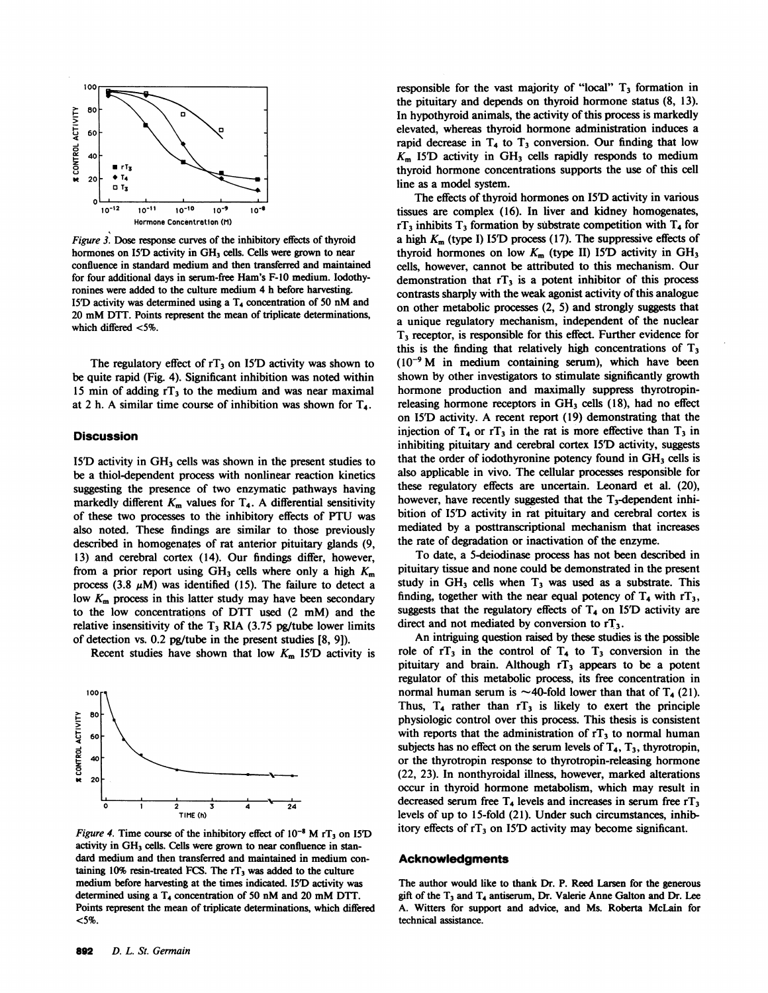

Figure 3. Dose response curves of the inhibitory effects of thyroid hormones on I5D activity in GH<sub>3</sub> cells. Cells were grown to near confluence in standard medium and then transferred and maintained for four additional days in serum-free Ham's F-10 medium. Iodothyronines were added to the culture medium 4 h before harvesting. 151D activity was determined using <sup>a</sup> T4 concentration of <sup>50</sup> nM and <sup>20</sup> mM DTT. Points represent the mean of triplicate determinations, which differed <5%.

The regulatory effect of  $rT_3$  on 15<sup>T</sup> activity was shown to be quite rapid (Fig. 4). Significant inhibition was noted within 15 min of adding  $rT_3$  to the medium and was near maximal at 2 h. A similar time course of inhibition was shown for  $T<sub>4</sub>$ .

#### Discussion

I5'D activity in  $GH_3$  cells was shown in the present studies to be a thiol-dependent process with nonlinear reaction kinetics suggesting the presence of two enzymatic pathways having markedly different  $K_m$  values for  $T_4$ . A differential sensitivity of these two processes to the inhibitory effects of PTU was also noted, These findings are similar to those previously described in homogenates of rat anterior pituitary glands (9, 13) and cerebral cortex (14). Our findings differ, however, from a prior report using  $GH_3$  cells where only a high  $K_m$ process (3.8  $\mu$ M) was identified (15). The failure to detect a low  $K<sub>m</sub>$  process in this latter study may have been secondary to the low concentrations of DTT used (2 mM) and the relative insensitivity of the  $T_3$  RIA (3.75 pg/tube lower limits of detection vs. 0.2 pg/tube in the present studies [8, 91).

Recent studies have shown that low  $K<sub>m</sub>$  15<sup>T</sup>D activity is



Figure 4. Time course of the inhibitory effect of  $10^{-8}$  M rT<sub>3</sub> on I5<sup>T</sup>D activity in GH<sub>3</sub> cells. Cells were grown to near confluence in standard medium and then transferred and maintained in medium containing  $10\%$  resin-treated FCS. The  $rT_3$  was added to the culture medium before harvesting at the times indicated. 151D activity was determined using a T<sub>4</sub> concentration of 50 nM and 20 mM DTT. Points represent the mean of triplicate determinations, which differed <5%.

The effects of thyroid hormones on I5D activity in various tissues are complex (16). In liver and kidney homogenates,  $rT_3$  inhibits  $T_3$  formation by substrate competition with  $T_4$  for a high  $K<sub>m</sub>$  (type I) I5<sup>D</sup> process (17). The suppressive effects of thyroid hormones on low  $K_m$  (type II) 15<sup>T</sup>D activity in  $GH_3$ cells, however, cannot be attributed to this mechanism. Our demonstration that  $rT_3$  is a potent inhibitor of this process contrasts sharply with the weak agonist activity of this analogue on other metabolic processes (2, 5) and strongly suggests that a unique regulatory mechanism, independent of the nuclear T3 receptor, is responsible for this effect. Further evidence for this is the finding that relatively high concentrations of  $T<sub>3</sub>$  $(10^{-9}$  M in medium containing serum), which have been shown by other investigators to stimulate significantly growth hormone production and maximally suppress thyrotropinreleasing hormone receptors in  $GH<sub>3</sub>$  cells (18), had no effect on 15D activity. A recent report (19) demonstrating that the injection of  $T_4$  or  $T_3$  in the rat is more effective than  $T_3$  in inhibiting pituitary and cerebral cortex I5D activity, suggests that the order of iodothyronine potency found in  $GH_3$  cells is also applicable in vivo. The cellular processes responsible for these regulatory effects are uncertain. Leonard et al. (20), however, have recently suggested that the  $T_3$ -dependent inhibition of 15D activity in rat pituitary and cerebral cortex is mediated by a posttranscriptional mechanism that increases the rate of degradation or inactivation of the enzyme.

To date, a 5-deiodinase process has not been described in pituitary tissue and none could be demonstrated in the present study in  $GH_3$  cells when  $T_3$  was used as a substrate. This finding, together with the near equal potency of  $T_4$  with  $rT_3$ , suggests that the regulatory effects of  $T<sub>4</sub>$  on 15<sup>T</sup>D activity are direct and not mediated by conversion to  $rT_3$ .

An intriguing question raised by these studies is the possible role of  $rT_3$  in the control of  $T_4$  to  $T_3$  conversion in the pituitary and brain. Although  $rT_3$  appears to be a potent regulator of this metabolic process, its free concentration in normal human serum is  $\sim$ 40-fold lower than that of T<sub>4</sub> (21). Thus,  $T_4$  rather than  $T_3$  is likely to exert the principle physiologic control over this process. This thesis is consistent with reports that the administration of  $rT<sub>3</sub>$  to normal human subjects has no effect on the serum levels of  $T_4$ ,  $T_3$ , thyrotropin, or the thyrotropin response to thyrotropin-releasing hormone (22, 23). In nonthyroidal illness, however, marked alterations occur in thyroid hormone metabolism, which may result in decreased serum free  $T_4$  levels and increases in serum free  $T_3$ levels of up to 15-fold (21). Under such circumstances, inhibitory effects of  $rT_3$  on 15<sup>T</sup> activity may become significant.

#### **Acknowledgments**

The author would like to thank Dr. P. Reed Larsen for the generous gift of the  $T_3$  and  $T_4$  antiserum, Dr. Valerie Anne Galton and Dr. Lee A. Witters for support and advice, and Ms. Roberta McLain for technical assistance.